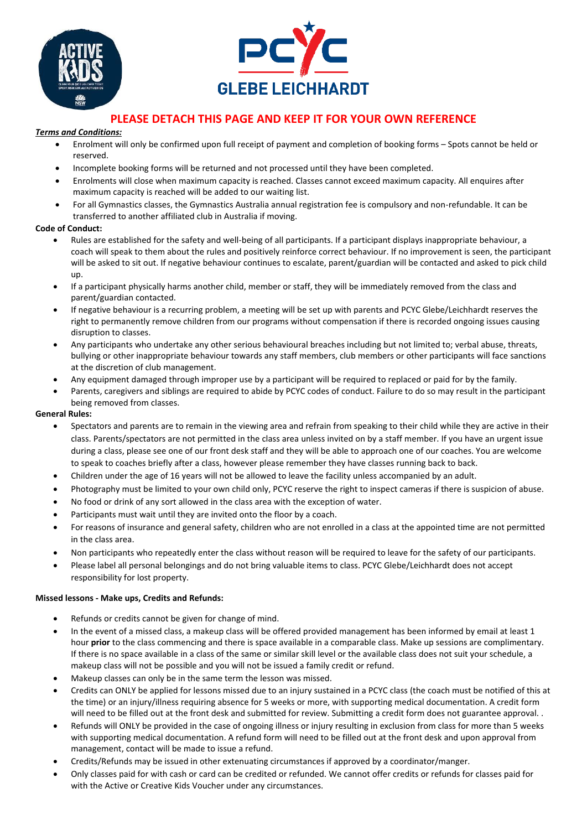



# **PLEASE DETACH THIS PAGE AND KEEP IT FOR YOUR OWN REFERENCE**

### *Terms and Conditions:*

- Enrolment will only be confirmed upon full receipt of payment and completion of booking forms Spots cannot be held or reserved.
- Incomplete booking forms will be returned and not processed until they have been completed.
- Enrolments will close when maximum capacity is reached. Classes cannot exceed maximum capacity. All enquires after maximum capacity is reached will be added to our waiting list.
- For all Gymnastics classes, the Gymnastics Australia annual registration fee is compulsory and non-refundable. It can be transferred to another affiliated club in Australia if moving.

## **Code of Conduct:**

- Rules are established for the safety and well-being of all participants. If a participant displays inappropriate behaviour, a coach will speak to them about the rules and positively reinforce correct behaviour. If no improvement is seen, the participant will be asked to sit out. If negative behaviour continues to escalate, parent/guardian will be contacted and asked to pick child up.
- If a participant physically harms another child, member or staff, they will be immediately removed from the class and parent/guardian contacted.
- If negative behaviour is a recurring problem, a meeting will be set up with parents and PCYC Glebe/Leichhardt reserves the right to permanently remove children from our programs without compensation if there is recorded ongoing issues causing disruption to classes.
- Any participants who undertake any other serious behavioural breaches including but not limited to; verbal abuse, threats, bullying or other inappropriate behaviour towards any staff members, club members or other participants will face sanctions at the discretion of club management.
- Any equipment damaged through improper use by a participant will be required to replaced or paid for by the family.
- Parents, caregivers and siblings are required to abide by PCYC codes of conduct. Failure to do so may result in the participant being removed from classes.

## **General Rules:**

- Spectators and parents are to remain in the viewing area and refrain from speaking to their child while they are active in their class. Parents/spectators are not permitted in the class area unless invited on by a staff member. If you have an urgent issue during a class, please see one of our front desk staff and they will be able to approach one of our coaches. You are welcome to speak to coaches briefly after a class, however please remember they have classes running back to back.
- Children under the age of 16 years will not be allowed to leave the facility unless accompanied by an adult.
- Photography must be limited to your own child only, PCYC reserve the right to inspect cameras if there is suspicion of abuse.
- No food or drink of any sort allowed in the class area with the exception of water.
- Participants must wait until they are invited onto the floor by a coach.
- For reasons of insurance and general safety, children who are not enrolled in a class at the appointed time are not permitted in the class area.
- Non participants who repeatedly enter the class without reason will be required to leave for the safety of our participants.
- Please label all personal belongings and do not bring valuable items to class. PCYC Glebe/Leichhardt does not accept responsibility for lost property.

### **Missed lessons - Make ups, Credits and Refunds:**

- Refunds or credits cannot be given for change of mind.
- In the event of a missed class, a makeup class will be offered provided management has been informed by email at least 1 hour **prior** to the class commencing and there is space available in a comparable class. Make up sessions are complimentary. If there is no space available in a class of the same or similar skill level or the available class does not suit your schedule, a makeup class will not be possible and you will not be issued a family credit or refund.
- Makeup classes can only be in the same term the lesson was missed.
- Credits can ONLY be applied for lessons missed due to an injury sustained in a PCYC class (the coach must be notified of this at the time) or an injury/illness requiring absence for 5 weeks or more, with supporting medical documentation. A credit form will need to be filled out at the front desk and submitted for review. Submitting a credit form does not guarantee approval..
- Refunds will ONLY be provided in the case of ongoing illness or injury resulting in exclusion from class for more than 5 weeks with supporting medical documentation. A refund form will need to be filled out at the front desk and upon approval from management, contact will be made to issue a refund.
- Credits/Refunds may be issued in other extenuating circumstances if approved by a coordinator/manger.
- Only classes paid for with cash or card can be credited or refunded. We cannot offer credits or refunds for classes paid for with the Active or Creative Kids Voucher under any circumstances.